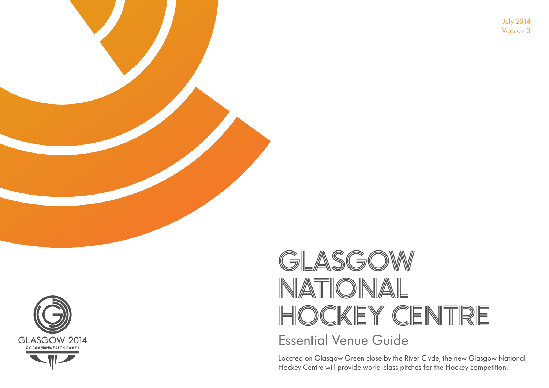July 2014 Version 3



# GLASGOW NATIONAL HOCKEY CENTRE Essential Venue Guide

Located on Glasgow Green close by the River Clyde, the new Glasgow National Hockey Centre will provide world-class pitches for the Hockey competition.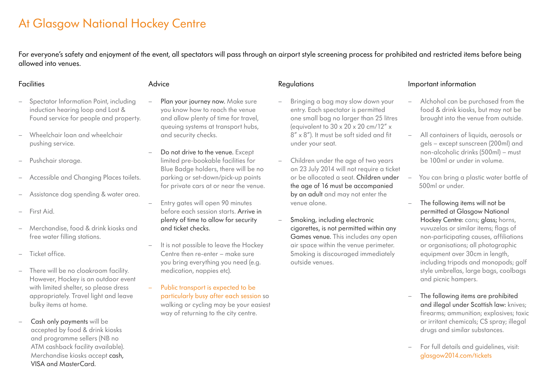## At Glasgow National Hockey Centre

For everyone's safety and enjoyment of the event, all spectators will pass through an airport style screening process for prohibited and restricted items before being allowed into venues.

#### **Facilities**

#### Advice

- Spectator Information Point, including induction hearing loop and Lost & Found service for people and property.
- Wheelchair loan and wheelchair pushing service.
- Pushchair storage.
- Accessible and Changing Places toilets.
- Assistance dog spending & water area.
- First Aid.
- Merchandise, food & drink kiosks and free water filling stations.
- Ticket office.
- There will be no cloakroom facility. However, Hockey is an outdoor event with limited shelter, so please dress appropriately. Travel light and leave bulky items at home.
- Cash only payments will be accepted by food & drink kiosks and programme sellers (NB no ATM cashback facility available). Merchandise kiosks accept cash, VISA and MasterCard.

- Plan your journey now. Make sure you know how to reach the venue and allow plenty of time for travel, queuing systems at transport hubs, and security checks.
- Do not drive to the venue. Except limited pre-bookable facilities for Blue Badge holders, there will be no parking or set-down/pick-up points for private cars at or near the venue.
- Entry gates will open 90 minutes before each session starts. Arrive in plenty of time to allow for security and ticket checks.
- It is not possible to leave the Hockey Centre then re-enter – make sure you bring everything you need (e.g. medication, nappies etc).
- Public transport is expected to be particularly busy after each session so walking or cycling may be your easiest way of returning to the city centre.

### Regulations

- Bringing a bag may slow down your entry. Each spectator is permitted one small bag no larger than 25 litres (equivalent to  $30 \times 20 \times 20$  cm/12"  $\times$ 8" x 8"). It must be soft sided and fit under your seat.
- Children under the age of two years on 23 July 2014 will not require a ticket or be allocated a seat. Children under the age of 16 must be accompanied by an adult and may not enter the venue alone.
- Smoking, including electronic cigarettes, is not permitted within any Games venue. This includes any open air space within the venue perimeter. Smoking is discouraged immediately outside venues.

### Important information

- Alchohol can be purchased from the food & drink kiosks, but may not be brought into the venue from outside.
- All containers of liquids, aerosols or gels – except sunscreen (200ml) and non-alcoholic drinks (500ml) – must be 100ml or under in volume.
- You can bring a plastic water bottle of 500ml or under.
- The following items will not be permitted at Glasgow National Hockey Centre: cans; glass; horns, vuvuzelas or similar items; flags of non-participating causes, affiliations or organisations; all photographic equipment over 30cm in length, including tripods and monopods; golf style umbrellas, large bags, coolbags and picnic hampers.
- The following items are prohibited and illegal under Scottish law: knives; firearms; ammunition; explosives; toxic or irritant chemicals; CS spray; illegal drugs and similar substances.
- For full details and guidelines, visit: glasgow2014.com/tickets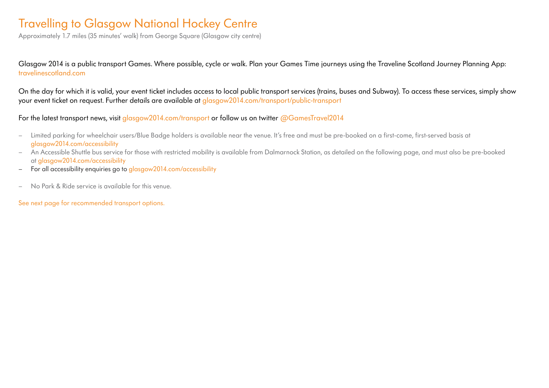### Travelling to Glasgow National Hockey Centre

Approximately 1.7 miles (35 minutes' walk) from George Square (Glasgow city centre)

Glasgow 2014 is a public transport Games. Where possible, cycle or walk. Plan your Games Time journeys using the Traveline Scotland Journey Planning App: travelinescotland.com

On the day for which it is valid, your event ticket includes access to local public transport services (trains, buses and Subway). To access these services, simply show your event ticket on request. Further details are available at glasgow2014.com/transport/public-transport

For the latest transport news, visit glasgow2014.com/transport or follow us on twitter @GamesTravel2014

- Limited parking for wheelchair users/Blue Badge holders is available near the venue. It's free and must be pre-booked on a first-come, first-served basis at glasgow2014.com/accessibility
- An Accessible Shuttle bus service for those with restricted mobility is available from Dalmarnock Station, as detailed on the following page, and must also be pre-booked at glasgow2014.com/accessibility
- For all accessibility enquiries go to glasgow 2014.com/accessibility
- No Park & Ride service is available for this venue.

See next page for recommended transport options.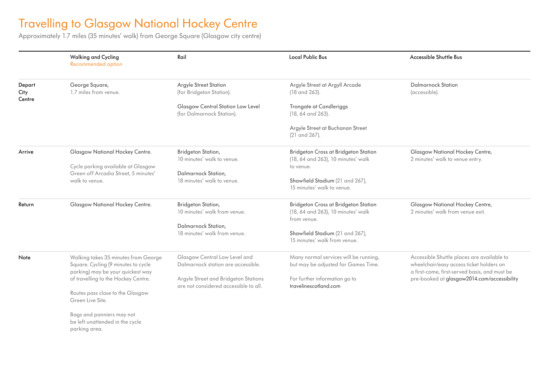### Travelling to Glasgow National Hockey Centre

Approximately 1.7 miles (35 minutes' walk) from George Square (Glasgow city centre)

parking area.

|                          | <b>Walking and Cycling</b><br>Recommended option                                                                 | Rail                                                                          | <b>Local Public Bus</b>                                                                   | Accessible Shuttle Bus                                                                                                                  |
|--------------------------|------------------------------------------------------------------------------------------------------------------|-------------------------------------------------------------------------------|-------------------------------------------------------------------------------------------|-----------------------------------------------------------------------------------------------------------------------------------------|
| Depart<br>City<br>Centre | George Square,<br>1.7 miles from venue.                                                                          | Argyle Street Station<br>(for Bridgeton Station).                             | Argyle Street at Argyll Arcade<br>(18 and 263).                                           | Dalmarnock Station<br>(accessible).                                                                                                     |
|                          |                                                                                                                  | Glasgow Central Station Low Level<br>(for Dalmarnock Station).                | Trongate at Candleriggs<br>(18, 64 and 263).                                              |                                                                                                                                         |
|                          |                                                                                                                  |                                                                               | Argyle Street at Buchanan Street<br>(21 and 267).                                         |                                                                                                                                         |
| Arrive                   | Glasgow National Hockey Centre.                                                                                  | Bridgeton Station,<br>10 minutes' walk to venue.                              | Bridgeton Cross at Bridgeton Station<br>(18, 64 and 263), 10 minutes' walk                | Glasgow National Hockey Centre,<br>2 minutes' walk to venue entry.                                                                      |
|                          | Cycle parking available at Glasgow<br>Green off Arcadia Street, 5 minutes'                                       | Dalmarnock Station,                                                           | to venue.                                                                                 |                                                                                                                                         |
|                          | walk to venue.                                                                                                   | 18 minutes' walk to venue.                                                    | Shawfield Stadium (21 and 267),<br>15 minutes' walk to venue.                             |                                                                                                                                         |
| Return                   | Glasgow National Hockey Centre.                                                                                  | Bridgeton Station,<br>10 minutes' walk from venue.                            | Bridgeton Cross at Bridgeton Station<br>(18, 64 and 263), 10 minutes' walk<br>from venue. | Glasgow National Hockey Centre,<br>2 minutes' walk from venue exit.                                                                     |
|                          |                                                                                                                  | Dalmarnock Station,<br>18 minutes' walk from venue.                           | Shawfield Stadium (21 and 267),<br>15 minutes' walk from venue.                           |                                                                                                                                         |
| Note                     | Walking takes 35 minutes from George<br>Square. Cycling (9 minutes to cycle<br>parking) may be your quickest way | Glasgow Central Low Level and<br>Dalmarnock station are accessible.           | Many normal services will be running,<br>but may be adjusted for Games Time.              | Accessible Shuttle places are available to<br>wheelchair/easy access ticket holders on<br>a first-come, first-served basis, and must be |
|                          | of travelling to the Hockey Centre.                                                                              | Argyle Street and Bridgeton Stations<br>are not considered accessible to all. | For further information go to<br>travelinescotland.com                                    | pre-booked at glasgow2014.com/accessibility                                                                                             |
|                          | Routes pass close to the Glasgow<br>Green Live Site.                                                             |                                                                               |                                                                                           |                                                                                                                                         |
|                          | Bags and panniers may not<br>be left unattended in the cycle                                                     |                                                                               |                                                                                           |                                                                                                                                         |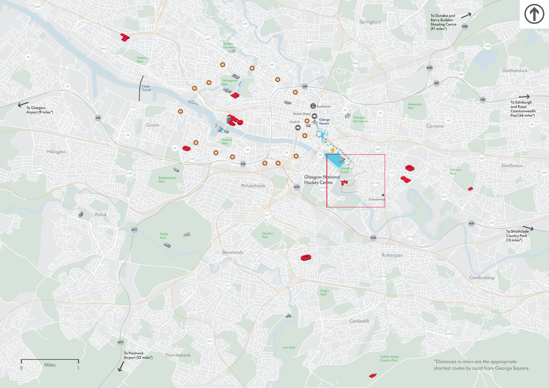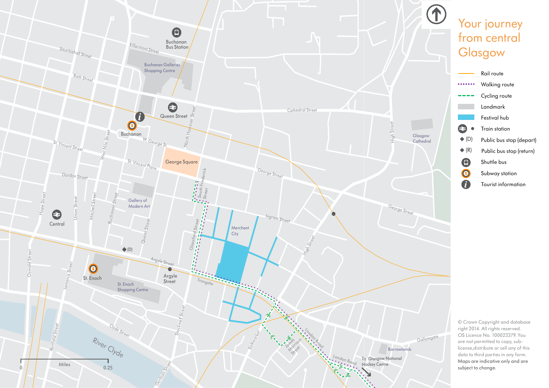

## Your journey from central **Glasgow**



© Crown Copyright and database right 2014. All rights reserved. OS Licence No. 100023379. You are not permitted to copy, sublicense,distribute or sell any of this data to third parties in any form. Maps are indicative only and are subject to change.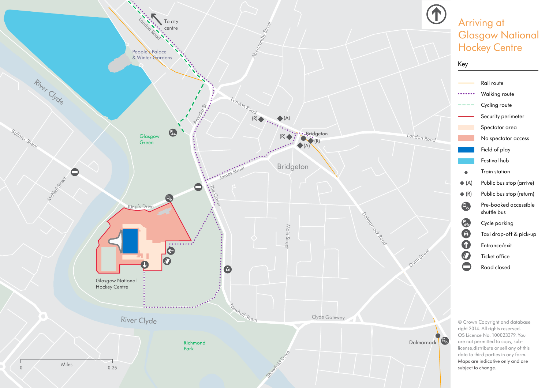

## Arriving at Glasgow National **Hockey Centre**



© Crown Copyright and database right 2014. All rights reserved. OS Licence No. 100023379. You are not permitted to copy, sublicense,distribute or sell any of this data to third parties in any form. Maps are indicative only and are